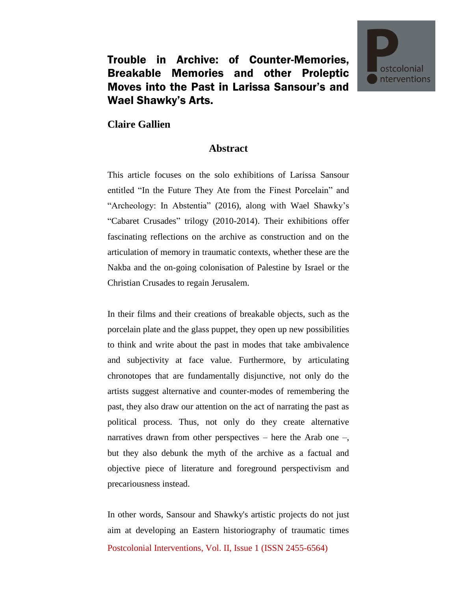

## Trouble in Archive: of Counter-Memories, Breakable Memories and other Proleptic Moves into the Past in Larissa Sansour's and Wael Shawky's Arts.

## **Claire Gallien**

## **Abstract**

This article focuses on the solo exhibitions of Larissa Sansour entitled "In the Future They Ate from the Finest Porcelain" and "Archeology: In Abstentia" (2016), along with Wael Shawky's "Cabaret Crusades" trilogy (2010-2014). Their exhibitions offer fascinating reflections on the archive as construction and on the articulation of memory in traumatic contexts, whether these are the Nakba and the on-going colonisation of Palestine by Israel or the Christian Crusades to regain Jerusalem.

In their films and their creations of breakable objects, such as the porcelain plate and the glass puppet, they open up new possibilities to think and write about the past in modes that take ambivalence and subjectivity at face value. Furthermore, by articulating chronotopes that are fundamentally disjunctive, not only do the artists suggest alternative and counter-modes of remembering the past, they also draw our attention on the act of narrating the past as political process. Thus, not only do they create alternative narratives drawn from other perspectives – here the Arab one –, but they also debunk the myth of the archive as a factual and objective piece of literature and foreground perspectivism and precariousness instead.

Postcolonial Interventions, Vol. II, Issue 1 (ISSN 2455-6564) In other words, Sansour and Shawky's artistic projects do not just aim at developing an Eastern historiography of traumatic times